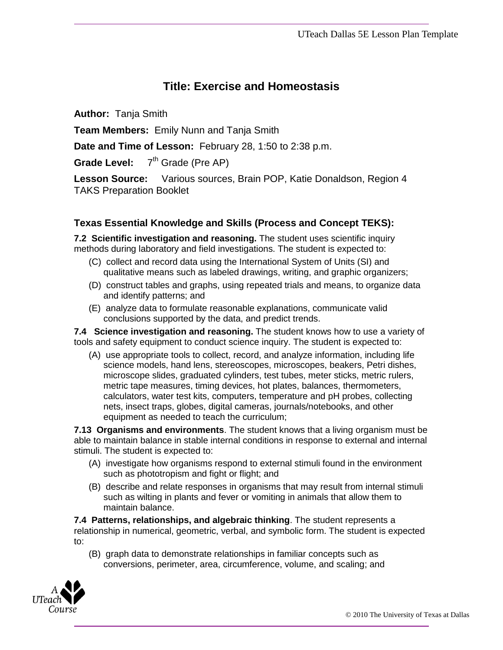# **Title: Exercise and Homeostasis**

**Author:** Tanja Smith

**Team Members:** Emily Nunn and Tanja Smith

**Date and Time of Lesson:** February 28, 1:50 to 2:38 p.m.

**Grade Level:** 7  $7<sup>th</sup>$  Grade (Pre AP)

**Lesson Source:** Various sources, Brain POP, Katie Donaldson, Region 4 TAKS Preparation Booklet

## **Texas Essential Knowledge and Skills (Process and Concept TEKS):**

**7.2 Scientific investigation and reasoning.** The student uses scientific inquiry methods during laboratory and field investigations. The student is expected to:

- (C) collect and record data using the International System of Units (SI) and qualitative means such as labeled drawings, writing, and graphic organizers;
- (D) construct tables and graphs, using repeated trials and means, to organize data and identify patterns; and
- (E) analyze data to formulate reasonable explanations, communicate valid conclusions supported by the data, and predict trends.

**7.4 Science investigation and reasoning.** The student knows how to use a variety of tools and safety equipment to conduct science inquiry. The student is expected to:

(A) use appropriate tools to collect, record, and analyze information, including life science models, hand lens, stereoscopes, microscopes, beakers, Petri dishes, microscope slides, graduated cylinders, test tubes, meter sticks, metric rulers, metric tape measures, timing devices, hot plates, balances, thermometers, calculators, water test kits, computers, temperature and pH probes, collecting nets, insect traps, globes, digital cameras, journals/notebooks, and other equipment as needed to teach the curriculum;

**7.13 Organisms and environments**. The student knows that a living organism must be able to maintain balance in stable internal conditions in response to external and internal stimuli. The student is expected to:

- (A) investigate how organisms respond to external stimuli found in the environment such as phototropism and fight or flight; and
- (B) describe and relate responses in organisms that may result from internal stimuli such as wilting in plants and fever or vomiting in animals that allow them to maintain balance.

**7.4 Patterns, relationships, and algebraic thinking**. The student represents a relationship in numerical, geometric, verbal, and symbolic form. The student is expected to:

(B) graph data to demonstrate relationships in familiar concepts such as conversions, perimeter, area, circumference, volume, and scaling; and

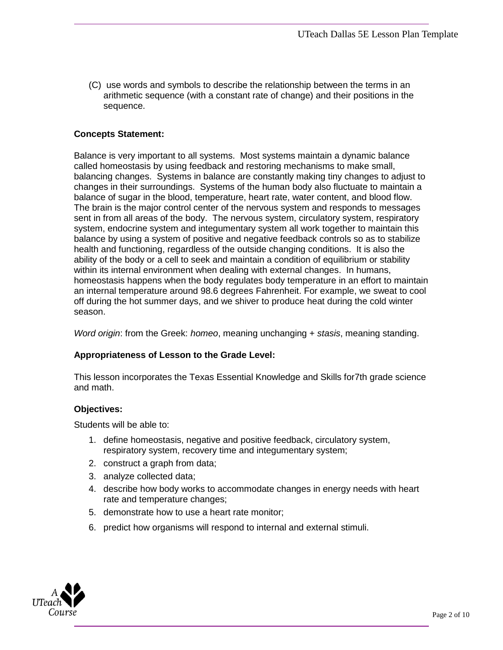(C) use words and symbols to describe the relationship between the terms in an arithmetic sequence (with a constant rate of change) and their positions in the sequence.

## **Concepts Statement:**

Balance is very important to all systems. Most systems maintain a dynamic balance called homeostasis by using feedback and restoring mechanisms to make small, balancing changes. Systems in balance are constantly making tiny changes to adjust to changes in their surroundings. Systems of the human body also fluctuate to maintain a balance of sugar in the blood, temperature, heart rate, water content, and blood flow. The brain is the major control center of the nervous system and responds to messages sent in from all areas of the body. The nervous system, circulatory system, respiratory system, endocrine system and integumentary system all work together to maintain this balance by using a system of positive and negative feedback controls so as to stabilize [health](http://www.biology-online.org/dictionary/Health) and functioning, regardless of the outside changing [conditions.](http://www.biology-online.org/dictionary/Condition) It is also the ability of the [body](http://www.biology-online.org/dictionary/Body) or a [cell](http://www.biology-online.org/dictionary/Cell) to seek and maintain a [condition](http://www.biology-online.org/dictionary/Condition) of [equilibrium](http://www.biology-online.org/dictionary/Equilibrium) or [stability](http://www.biology-online.org/dictionary/Stability) within its [internal](http://www.biology-online.org/dictionary/Internal) [environment](http://www.biology-online.org/dictionary/Environment) when dealing with [external](http://www.biology-online.org/dictionary/External) changes. In humans, homeostasis happens when the [body](http://www.biology-online.org/dictionary/Body) regulates body [temperature](http://www.biology-online.org/dictionary/Temperature) in an effort to maintain an [internal](http://www.biology-online.org/dictionary/Internal) [temperature](http://www.biology-online.org/dictionary/Temperature) around 98.6 degrees Fahrenheit. For example, we [sweat](http://www.biology-online.org/dictionary/Sweat) to cool off during the hot summer days, and we shiver to produce [heat](http://www.biology-online.org/dictionary/Heat) during the cold winter [season.](http://www.biology-online.org/dictionary/Season)

*Word origin*: from the Greek: *homeo*, meaning unchanging + *stasis*, meaning standing.

### **Appropriateness of Lesson to the Grade Level:**

This lesson incorporates the Texas Essential Knowledge and Skills for7th grade science and math.

#### **Objectives:**

Students will be able to:

- 1. define homeostasis, negative and positive feedback, circulatory system, respiratory system, recovery time and integumentary system;
- 2. construct a graph from data;
- 3. analyze collected data;
- 4. describe how body works to accommodate changes in energy needs with heart rate and temperature changes;
- 5. demonstrate how to use a heart rate monitor;
- 6. predict how organisms will respond to internal and external stimuli.

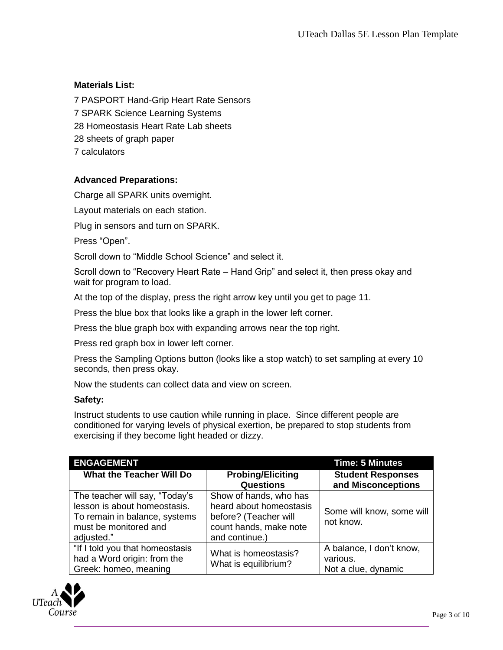## **Materials List:**

7 PASPORT Hand-Grip Heart Rate Sensors 7 SPARK Science Learning Systems 28 Homeostasis Heart Rate Lab sheets 28 sheets of graph paper

7 calculators

## **Advanced Preparations:**

Charge all SPARK units overnight.

Layout materials on each station.

Plug in sensors and turn on SPARK.

Press "Open".

Scroll down to "Middle School Science" and select it.

Scroll down to "Recovery Heart Rate – Hand Grip" and select it, then press okay and wait for program to load.

At the top of the display, press the right arrow key until you get to page 11.

Press the blue box that looks like a graph in the lower left corner.

Press the blue graph box with expanding arrows near the top right.

Press red graph box in lower left corner.

Press the Sampling Options button (looks like a stop watch) to set sampling at every 10 seconds, then press okay.

Now the students can collect data and view on screen.

#### **Safety:**

Instruct students to use caution while running in place. Since different people are conditioned for varying levels of physical exertion, be prepared to stop students from exercising if they become light headed or dizzy.

| <b>ENGAGEMENT</b>                                                                                                                      |                                                                                                                        | <b>Time: 5 Minutes</b>                                      |
|----------------------------------------------------------------------------------------------------------------------------------------|------------------------------------------------------------------------------------------------------------------------|-------------------------------------------------------------|
| <b>What the Teacher Will Do</b>                                                                                                        | <b>Probing/Eliciting</b><br><b>Questions</b>                                                                           | <b>Student Responses</b><br>and Misconceptions              |
| The teacher will say, "Today's<br>lesson is about homeostasis.<br>To remain in balance, systems<br>must be monitored and<br>adjusted." | Show of hands, who has<br>heard about homeostasis<br>before? (Teacher will<br>count hands, make note<br>and continue.) | Some will know, some will<br>not know.                      |
| "If I told you that homeostasis<br>had a Word origin: from the<br>Greek: homeo, meaning                                                | What is homeostasis?<br>What is equilibrium?                                                                           | A balance, I don't know,<br>various.<br>Not a clue, dynamic |

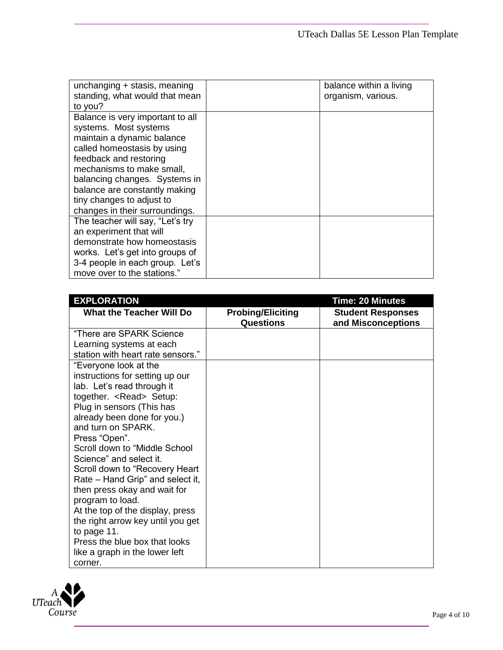| unchanging + stasis, meaning<br>standing, what would that mean<br>to you?                                                                                                                                                                                                                                      | balance within a living<br>organism, various. |
|----------------------------------------------------------------------------------------------------------------------------------------------------------------------------------------------------------------------------------------------------------------------------------------------------------------|-----------------------------------------------|
| Balance is very important to all<br>systems. Most systems<br>maintain a dynamic balance<br>called homeostasis by using<br>feedback and restoring<br>mechanisms to make small,<br>balancing changes. Systems in<br>balance are constantly making<br>tiny changes to adjust to<br>changes in their surroundings. |                                               |
| The teacher will say, "Let's try<br>an experiment that will<br>demonstrate how homeostasis<br>works. Let's get into groups of<br>3-4 people in each group. Let's<br>move over to the stations."                                                                                                                |                                               |

| <b>EXPLORATION</b>                |                                              | <b>Time: 20 Minutes</b>                        |
|-----------------------------------|----------------------------------------------|------------------------------------------------|
| <b>What the Teacher Will Do</b>   | <b>Probing/Eliciting</b><br><b>Questions</b> | <b>Student Responses</b><br>and Misconceptions |
| "There are SPARK Science          |                                              |                                                |
| Learning systems at each          |                                              |                                                |
| station with heart rate sensors." |                                              |                                                |
| "Everyone look at the             |                                              |                                                |
| instructions for setting up our   |                                              |                                                |
| lab. Let's read through it        |                                              |                                                |
| together. <read> Setup:</read>    |                                              |                                                |
| Plug in sensors (This has         |                                              |                                                |
| already been done for you.)       |                                              |                                                |
| and turn on SPARK.                |                                              |                                                |
| Press "Open".                     |                                              |                                                |
| Scroll down to "Middle School"    |                                              |                                                |
| Science" and select it.           |                                              |                                                |
| Scroll down to "Recovery Heart    |                                              |                                                |
| Rate – Hand Grip" and select it,  |                                              |                                                |
| then press okay and wait for      |                                              |                                                |
| program to load.                  |                                              |                                                |
| At the top of the display, press  |                                              |                                                |
| the right arrow key until you get |                                              |                                                |
| to page 11.                       |                                              |                                                |
| Press the blue box that looks     |                                              |                                                |
| like a graph in the lower left    |                                              |                                                |
| corner.                           |                                              |                                                |

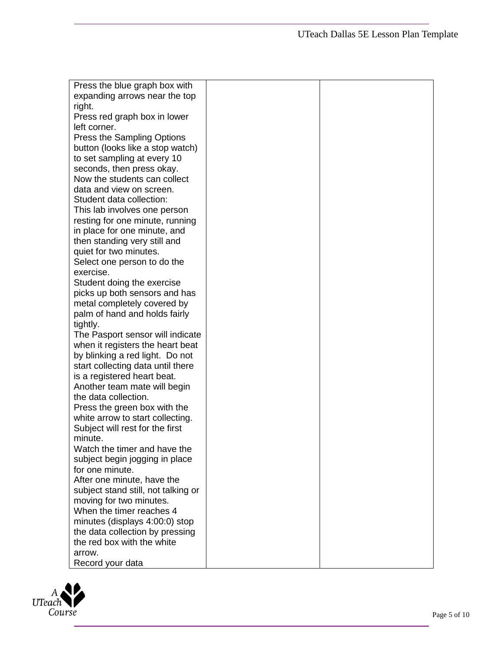| Press the blue graph box with       |  |
|-------------------------------------|--|
| expanding arrows near the top       |  |
| right.                              |  |
| Press red graph box in lower        |  |
| left corner.                        |  |
| <b>Press the Sampling Options</b>   |  |
| button (looks like a stop watch)    |  |
| to set sampling at every 10         |  |
| seconds, then press okay.           |  |
| Now the students can collect        |  |
| data and view on screen.            |  |
| Student data collection:            |  |
| This lab involves one person        |  |
| resting for one minute, running     |  |
| in place for one minute, and        |  |
| then standing very still and        |  |
| quiet for two minutes.              |  |
| Select one person to do the         |  |
| exercise.                           |  |
| Student doing the exercise          |  |
| picks up both sensors and has       |  |
| metal completely covered by         |  |
| palm of hand and holds fairly       |  |
| tightly.                            |  |
| The Pasport sensor will indicate    |  |
| when it registers the heart beat    |  |
| by blinking a red light. Do not     |  |
| start collecting data until there   |  |
| is a registered heart beat.         |  |
| Another team mate will begin        |  |
| the data collection.                |  |
| Press the green box with the        |  |
| white arrow to start collecting.    |  |
| Subject will rest for the first     |  |
| minute.                             |  |
| Watch the timer and have the        |  |
| subject begin jogging in place      |  |
| for one minute.                     |  |
| After one minute, have the          |  |
| subject stand still, not talking or |  |
| moving for two minutes.             |  |
| When the timer reaches 4            |  |
| minutes (displays 4:00:0) stop      |  |
| the data collection by pressing     |  |
| the red box with the white          |  |
| arrow.                              |  |
| Record your data                    |  |
|                                     |  |

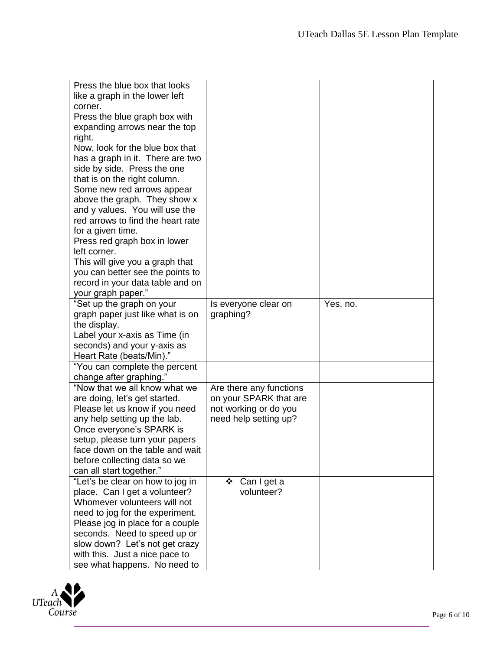| Press the blue box that looks     |                         |          |
|-----------------------------------|-------------------------|----------|
| like a graph in the lower left    |                         |          |
| corner.                           |                         |          |
| Press the blue graph box with     |                         |          |
| expanding arrows near the top     |                         |          |
| right.                            |                         |          |
| Now, look for the blue box that   |                         |          |
| has a graph in it. There are two  |                         |          |
| side by side. Press the one       |                         |          |
| that is on the right column.      |                         |          |
| Some new red arrows appear        |                         |          |
| above the graph. They show x      |                         |          |
| and y values. You will use the    |                         |          |
| red arrows to find the heart rate |                         |          |
| for a given time.                 |                         |          |
| Press red graph box in lower      |                         |          |
| left corner.                      |                         |          |
| This will give you a graph that   |                         |          |
| you can better see the points to  |                         |          |
| record in your data table and on  |                         |          |
| your graph paper."                |                         |          |
| "Set up the graph on your         | Is everyone clear on    | Yes, no. |
| graph paper just like what is on  | graphing?               |          |
| the display.                      |                         |          |
| Label your x-axis as Time (in     |                         |          |
| seconds) and your y-axis as       |                         |          |
| Heart Rate (beats/Min)."          |                         |          |
| "You can complete the percent     |                         |          |
| change after graphing."           |                         |          |
| "Now that we all know what we     | Are there any functions |          |
| are doing, let's get started.     | on your SPARK that are  |          |
| Please let us know if you need    | not working or do you   |          |
| any help setting up the lab.      | need help setting up?   |          |
| Once everyone's SPARK is          |                         |          |
| setup, please turn your papers    |                         |          |
| face down on the table and wait   |                         |          |
| before collecting data so we      |                         |          |
| can all start together."          |                         |          |
| "Let's be clear on how to jog in  | Can I get a<br>❖        |          |
| place. Can I get a volunteer?     | volunteer?              |          |
| Whomever volunteers will not      |                         |          |
| need to jog for the experiment.   |                         |          |
| Please jog in place for a couple  |                         |          |
| seconds. Need to speed up or      |                         |          |
| slow down? Let's not get crazy    |                         |          |
| with this. Just a nice pace to    |                         |          |
| see what happens. No need to      |                         |          |

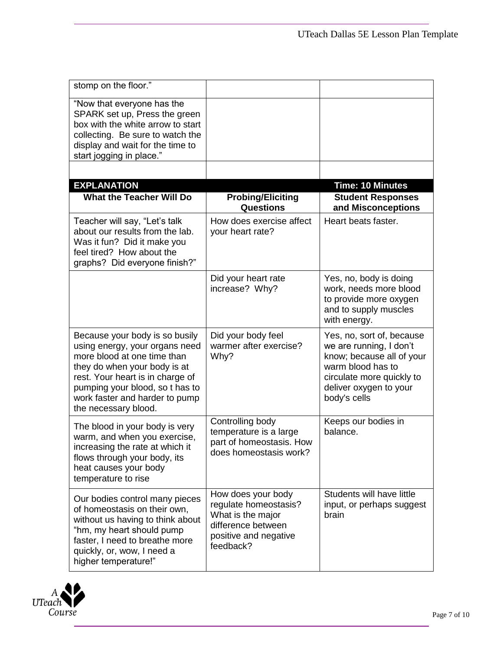| stomp on the floor."                                                                                                                                                                                                                                             |                                                                                                                              |                                                                                                                                                                               |
|------------------------------------------------------------------------------------------------------------------------------------------------------------------------------------------------------------------------------------------------------------------|------------------------------------------------------------------------------------------------------------------------------|-------------------------------------------------------------------------------------------------------------------------------------------------------------------------------|
| "Now that everyone has the<br>SPARK set up, Press the green<br>box with the white arrow to start<br>collecting. Be sure to watch the<br>display and wait for the time to<br>start jogging in place."                                                             |                                                                                                                              |                                                                                                                                                                               |
|                                                                                                                                                                                                                                                                  |                                                                                                                              |                                                                                                                                                                               |
| <b>EXPLANATION</b>                                                                                                                                                                                                                                               |                                                                                                                              | <b>Time: 10 Minutes</b>                                                                                                                                                       |
| <b>What the Teacher Will Do</b>                                                                                                                                                                                                                                  | <b>Probing/Eliciting</b><br>Questions                                                                                        | <b>Student Responses</b><br>and Misconceptions                                                                                                                                |
| Teacher will say, "Let's talk<br>about our results from the lab.<br>Was it fun? Did it make you<br>feel tired? How about the<br>graphs? Did everyone finish?"                                                                                                    | How does exercise affect<br>your heart rate?                                                                                 | Heart beats faster.                                                                                                                                                           |
|                                                                                                                                                                                                                                                                  | Did your heart rate<br>increase? Why?                                                                                        | Yes, no, body is doing<br>work, needs more blood<br>to provide more oxygen<br>and to supply muscles<br>with energy.                                                           |
| Because your body is so busily<br>using energy, your organs need<br>more blood at one time than<br>they do when your body is at<br>rest. Your heart is in charge of<br>pumping your blood, so t has to<br>work faster and harder to pump<br>the necessary blood. | Did your body feel<br>warmer after exercise?<br>Why?                                                                         | Yes, no, sort of, because<br>we are running, I don't<br>know; because all of your<br>warm blood has to<br>circulate more quickly to<br>deliver oxygen to your<br>body's cells |
| The blood in your body is very<br>warm, and when you exercise,<br>increasing the rate at which it<br>flows through your body, its<br>heat causes your body<br>temperature to rise                                                                                | Controlling body<br>temperature is a large<br>part of homeostasis. How<br>does homeostasis work?                             | Keeps our bodies in<br>balance.                                                                                                                                               |
| Our bodies control many pieces<br>of homeostasis on their own,<br>without us having to think about<br>"hm, my heart should pump<br>faster, I need to breathe more<br>quickly, or, wow, I need a<br>higher temperature!"                                          | How does your body<br>regulate homeostasis?<br>What is the major<br>difference between<br>positive and negative<br>feedback? | Students will have little<br>input, or perhaps suggest<br>brain                                                                                                               |

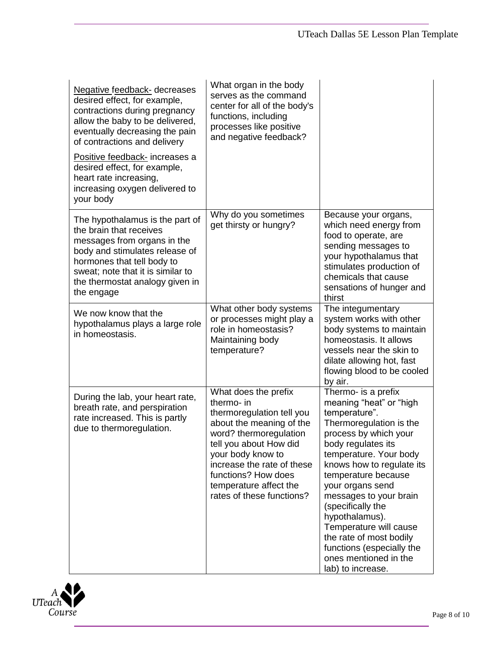| Negative feedback- decreases<br>desired effect, for example,<br>contractions during pregnancy<br>allow the baby to be delivered,<br>eventually decreasing the pain<br>of contractions and delivery<br>Positive feedback- increases a<br>desired effect, for example,<br>heart rate increasing,<br>increasing oxygen delivered to<br>your body | What organ in the body<br>serves as the command<br>center for all of the body's<br>functions, including<br>processes like positive<br>and negative feedback?                                                                                                                     |                                                                                                                                                                                                                                                                                                                                                                                                                                              |
|-----------------------------------------------------------------------------------------------------------------------------------------------------------------------------------------------------------------------------------------------------------------------------------------------------------------------------------------------|----------------------------------------------------------------------------------------------------------------------------------------------------------------------------------------------------------------------------------------------------------------------------------|----------------------------------------------------------------------------------------------------------------------------------------------------------------------------------------------------------------------------------------------------------------------------------------------------------------------------------------------------------------------------------------------------------------------------------------------|
| The hypothalamus is the part of<br>the brain that receives<br>messages from organs in the<br>body and stimulates release of<br>hormones that tell body to<br>sweat; note that it is similar to<br>the thermostat analogy given in<br>the engage                                                                                               | Why do you sometimes<br>get thirsty or hungry?                                                                                                                                                                                                                                   | Because your organs,<br>which need energy from<br>food to operate, are<br>sending messages to<br>your hypothalamus that<br>stimulates production of<br>chemicals that cause<br>sensations of hunger and<br>thirst                                                                                                                                                                                                                            |
| We now know that the<br>hypothalamus plays a large role<br>in homeostasis.                                                                                                                                                                                                                                                                    | What other body systems<br>or processes might play a<br>role in homeostasis?<br>Maintaining body<br>temperature?                                                                                                                                                                 | The integumentary<br>system works with other<br>body systems to maintain<br>homeostasis. It allows<br>vessels near the skin to<br>dilate allowing hot, fast<br>flowing blood to be cooled<br>by air.                                                                                                                                                                                                                                         |
| During the lab, your heart rate,<br>breath rate, and perspiration<br>rate increased. This is partly<br>due to thermoregulation.                                                                                                                                                                                                               | What does the prefix<br>thermo- in<br>thermoregulation tell you<br>about the meaning of the<br>word? thermoregulation<br>tell you about How did<br>your body know to<br>increase the rate of these<br>functions? How does<br>temperature affect the<br>rates of these functions? | Thermo- is a prefix<br>meaning "heat" or "high<br>temperature".<br>Thermoregulation is the<br>process by which your<br>body regulates its<br>temperature. Your body<br>knows how to regulate its<br>temperature because<br>your organs send<br>messages to your brain<br>(specifically the<br>hypothalamus).<br>Temperature will cause<br>the rate of most bodily<br>functions (especially the<br>ones mentioned in the<br>lab) to increase. |

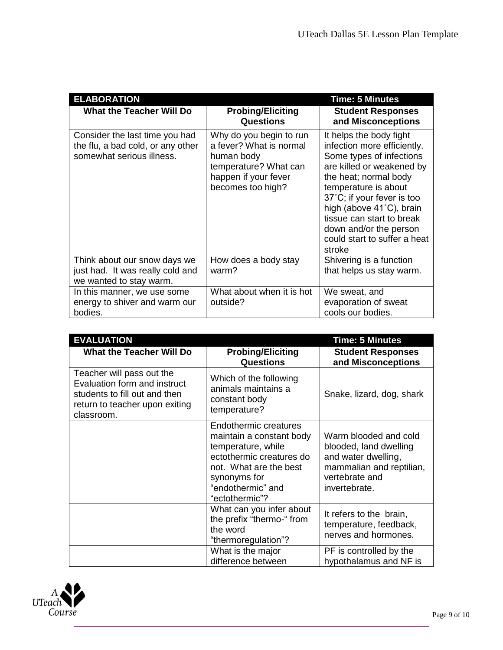| <b>ELABORATION</b>                                                                               |                                                                                                                                        | <b>Time: 5 Minutes</b>                                                                                                                                                                                                                                                                                                                |
|--------------------------------------------------------------------------------------------------|----------------------------------------------------------------------------------------------------------------------------------------|---------------------------------------------------------------------------------------------------------------------------------------------------------------------------------------------------------------------------------------------------------------------------------------------------------------------------------------|
| <b>What the Teacher Will Do</b>                                                                  | <b>Probing/Eliciting</b><br><b>Questions</b>                                                                                           | <b>Student Responses</b><br>and Misconceptions                                                                                                                                                                                                                                                                                        |
| Consider the last time you had<br>the flu, a bad cold, or any other<br>somewhat serious illness. | Why do you begin to run<br>a fever? What is normal<br>human body<br>temperature? What can<br>happen if your fever<br>becomes too high? | It helps the body fight<br>infection more efficiently.<br>Some types of infections<br>are killed or weakened by<br>the heat; normal body<br>temperature is about<br>$37^{\circ}$ C; if your fever is too<br>high (above 41°C), brain<br>tissue can start to break<br>down and/or the person<br>could start to suffer a heat<br>stroke |
| Think about our snow days we<br>just had. It was really cold and<br>we wanted to stay warm.      | How does a body stay<br>warm?                                                                                                          | Shivering is a function<br>that helps us stay warm.                                                                                                                                                                                                                                                                                   |
| In this manner, we use some<br>energy to shiver and warm our<br>bodies.                          | What about when it is hot<br>outside?                                                                                                  | We sweat, and<br>evaporation of sweat<br>cools our bodies.                                                                                                                                                                                                                                                                            |

| <b>EVALUATION</b>                                                                                                                          |                                                                                                                                                                                      | <b>Time: 5 Minutes</b>                                                                                                                |
|--------------------------------------------------------------------------------------------------------------------------------------------|--------------------------------------------------------------------------------------------------------------------------------------------------------------------------------------|---------------------------------------------------------------------------------------------------------------------------------------|
| <b>What the Teacher Will Do</b>                                                                                                            | <b>Probing/Eliciting</b><br><b>Questions</b>                                                                                                                                         | <b>Student Responses</b><br>and Misconceptions                                                                                        |
| Teacher will pass out the<br>Evaluation form and instruct<br>students to fill out and then<br>return to teacher upon exiting<br>classroom. | Which of the following<br>animals maintains a<br>constant body<br>temperature?                                                                                                       | Snake, lizard, dog, shark                                                                                                             |
|                                                                                                                                            | Endothermic creatures<br>maintain a constant body<br>temperature, while<br>ectothermic creatures do<br>not. What are the best<br>synonyms for<br>"endothermic" and<br>"ectothermic"? | Warm blooded and cold<br>blooded, land dwelling<br>and water dwelling,<br>mammalian and reptilian,<br>vertebrate and<br>invertebrate. |
|                                                                                                                                            | What can you infer about<br>the prefix "thermo-" from<br>the word<br>"thermoregulation"?                                                                                             | It refers to the brain,<br>temperature, feedback,<br>nerves and hormones.                                                             |
|                                                                                                                                            | What is the major<br>difference between                                                                                                                                              | PF is controlled by the<br>hypothalamus and NF is                                                                                     |